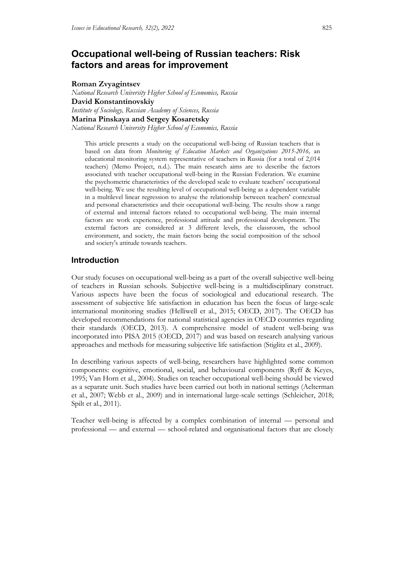# **Occupational well-being of Russian teachers: Risk factors and areas for improvement**

**Roman Zvyagintsev**

*National Research University Higher School of Economics, Russia* **David Konstantinovskiy** *Institute of Sociology, Russian Academy of Sciences, Russia* **Marina Pinskaya and Sergey Kosaretsky**

*National Research University Higher School of Economics, Russia*

This article presents a study on the occupational well-being of Russian teachers that is based on data from *Monitoring of Education Markets and Organizations 2015-2016,* an educational monitoring system representative of teachers in Russia (for a total of 2,014 teachers) (Memo Project, n.d.). The main research aims are to describe the factors associated with teacher occupational well-being in the Russian Federation. We examine the psychometric characteristics of the developed scale to evaluate teachers' occupational well-being. We use the resulting level of occupational well-being as a dependent variable in a multilevel linear regression to analyse the relationship between teachers' contextual and personal characteristics and their occupational well-being. The results show a range of external and internal factors related to occupational well-being. The main internal factors are work experience, professional attitude and professional development. The external factors are considered at 3 different levels, the classroom, the school environment, and society, the main factors being the social composition of the school and society's attitude towards teachers.

## **Introduction**

Our study focuses on occupational well-being as a part of the overall subjective well-being of teachers in Russian schools. Subjective well-being is a multidisciplinary construct. Various aspects have been the focus of sociological and educational research. The assessment of subjective life satisfaction in education has been the focus of large-scale international monitoring studies (Helliwell et al., 2015; OECD, 2017). The OECD has developed recommendations for national statistical agencies in OECD countries regarding their standards (OECD, 2013). A comprehensive model of student well-being was incorporated into PISA 2015 (OECD, 2017) and was based on research analysing various approaches and methods for measuring subjective life satisfaction (Stiglitz et al., 2009).

In describing various aspects of well-being, researchers have highlighted some common components: cognitive, emotional, social, and behavioural components (Ryff & Keyes, 1995; Van Horn et al., 2004). Studies on teacher occupational well-being should be viewed as a separate unit. Such studies have been carried out both in national settings (Aelterman et al., 2007; Webb et al., 2009) and in international large-scale settings (Schleicher, 2018; Spilt et al., 2011).

Teacher well-being is affected by a complex combination of internal — personal and professional — and external — school-related and organisational factors that are closely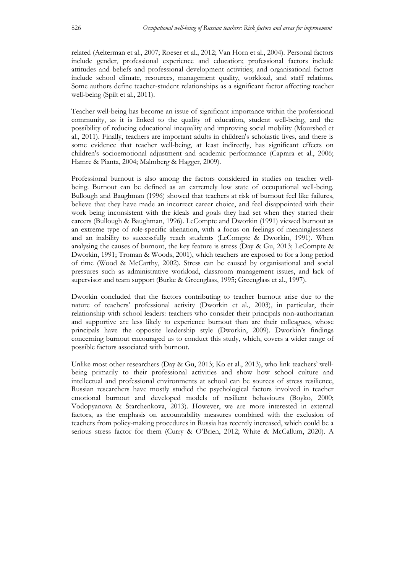related (Aelterman et al., 2007; Roeser et al., 2012; Van Horn et al., 2004). Personal factors include gender, professional experience and education; professional factors include attitudes and beliefs and professional development activities; and organisational factors include school climate, resources, management quality, workload, and staff relations. Some authors define teacher-student relationships as a significant factor affecting teacher well-being (Spilt et al., 2011).

Teacher well-being has become an issue of significant importance within the professional community, as it is linked to the quality of education, student well-being, and the possibility of reducing educational inequality and improving social mobility (Mourshed et al., 2011). Finally, teachers are important adults in children's scholastic lives, and there is some evidence that teacher well-being, at least indirectly, has significant effects on children's socioemotional adjustment and academic performance (Caprara et al., 2006; Hamre & Pianta, 2004; Malmberg & Hagger, 2009).

Professional burnout is also among the factors considered in studies on teacher wellbeing. Burnout can be defined as an extremely low state of occupational well-being. Bullough and Baughman (1996) showed that teachers at risk of burnout feel like failures, believe that they have made an incorrect career choice, and feel disappointed with their work being inconsistent with the ideals and goals they had set when they started their careers (Bullough & Baughman, 1996). LeCompte and Dworkin (1991) viewed burnout as an extreme type of role-specific alienation, with a focus on feelings of meaninglessness and an inability to successfully reach students (LeCompte & Dworkin, 1991). When analysing the causes of burnout, the key feature is stress (Day & Gu, 2013; LeCompte & Dworkin, 1991; Troman & Woods, 2001), which teachers are exposed to for a long period of time (Wood & McCarthy, 2002). Stress can be caused by organisational and social pressures such as administrative workload, classroom management issues, and lack of supervisor and team support (Burke & Greenglass, 1995; Greenglass et al., 1997).

Dworkin concluded that the factors contributing to teacher burnout arise due to the nature of teachers' professional activity (Dworkin et al., 2003), in particular, their relationship with school leaders: teachers who consider their principals non-authoritarian and supportive are less likely to experience burnout than are their colleagues, whose principals have the opposite leadership style (Dworkin, 2009). Dworkin's findings concerning burnout encouraged us to conduct this study, which, covers a wider range of possible factors associated with burnout.

Unlike most other researchers (Day & Gu, 2013; Ko et al., 2013), who link teachers' wellbeing primarily to their professional activities and show how school culture and intellectual and professional environments at school can be sources of stress resilience, Russian researchers have mostly studied the psychological factors involved in teacher emotional burnout and developed models of resilient behaviours (Boyko, 2000; Vodopyanova & Starchenkova, 2013). However, we are more interested in external factors, as the emphasis on accountability measures combined with the exclusion of teachers from policy-making procedures in Russia has recently increased, which could be a serious stress factor for them (Curry & O'Brien, 2012; White & McCallum, 2020). A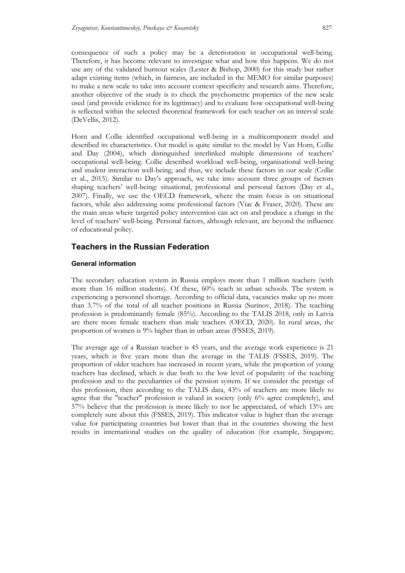consequence of such a policy may be a deterioration in occupational well-being. Therefore, it has become relevant to investigate what and how this happens. We do not use any of the validated burnout scales (Lester & Bishop, 2000) for this study but rather adapt existing items (which, in fairness, are included in the MEMO for similar purposes) to make a new scale to take into account context specificity and research aims. Therefore, another objective of the study is to check the psychometric properties of the new scale used (and provide evidence for its legitimacy) and to evaluate how occupational well-being is reflected within the selected theoretical framework for each teacher on an interval scale (DeVellis, 2012).

Horn and Collie identified occupational well-being in a multicomponent model and described its characteristics. Our model is quite similar to the model by Van Horn, Collie and Day (2004), which distinguished interlinked multiple dimensions of teachers' occupational well-being. Collie described workload well-being, organisational well-being and student interaction well-being, and thus, we include these factors in our scale (Collie et al., 2015). Similar to Day's approach, we take into account three groups of factors shaping teachers' well-being: situational, professional and personal factors (Day et al., 2007). Finally, we use the OECD framework, where the main focus is on situational factors, while also addressing some professional factors (Viac & Fraser, 2020). These are the main areas where targeted policy intervention can act on and produce a change in the level of teachers' well-being. Personal factors, although relevant, are beyond the influence of educational policy.

## **Teachers in the Russian Federation**

## **General information**

The secondary education system in Russia employs more than 1 million teachers (with more than 16 million students). Of these, 60% teach in urban schools. The system is experiencing a personnel shortage. According to official data, vacancies make up no more than 3.7% of the total of all teacher positions in Russia (Surinov, 2018). The teaching profession is predominantly female (85%). According to the TALIS 2018, only in Latvia are there more female teachers than male teachers (OECD, 2020). In rural areas, the proportion of women is 9% higher than in urban areas (FSSES, 2019).

The average age of a Russian teacher is 45 years, and the average work experience is 21 years, which is five years more than the average in the TALIS (FSSES, 2019). The proportion of older teachers has increased in recent years, while the proportion of young teachers has declined, which is due both to the low level of popularity of the teaching profession and to the peculiarities of the pension system. If we consider the prestige of this profession, then according to the TALIS data, 43% of teachers are more likely to agree that the "teacher" profession is valued in society (only 6% agree completely), and 57% believe that the profession is more likely to not be appreciated, of which 13% are completely sure about this (FSSES, 2019). This indicator value is higher than the average value for participating countries but lower than that in the countries showing the best results in international studies on the quality of education (for example, Singapore;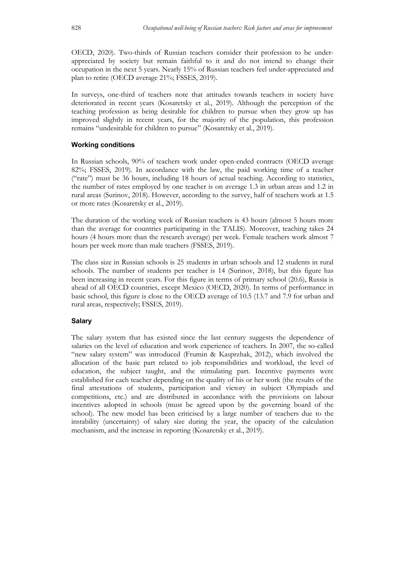OECD, 2020). Two-thirds of Russian teachers consider their profession to be underappreciated by society but remain faithful to it and do not intend to change their occupation in the next 5 years. Nearly 15% of Russian teachers feel under-appreciated and plan to retire (OECD average 21%; FSSES, 2019).

In surveys, one-third of teachers note that attitudes towards teachers in society have deteriorated in recent years (Kosaretsky et al., 2019). Although the perception of the teaching profession as being desirable for children to pursue when they grow up has improved slightly in recent years, for the majority of the population, this profession remains "undesirable for children to pursue" (Kosaretsky et al., 2019).

### **Working conditions**

In Russian schools, 90% of teachers work under open-ended contracts (OECD average 82%; FSSES, 2019). In accordance with the law, the paid working time of a teacher ("rate") must be 36 hours, including 18 hours of actual teaching. According to statistics, the number of rates employed by one teacher is on average 1.3 in urban areas and 1.2 in rural areas (Surinov, 2018). However, according to the survey, half of teachers work at 1.5 or more rates (Kosaretsky et al., 2019).

The duration of the working week of Russian teachers is 43 hours (almost 5 hours more than the average for countries participating in the TALIS). Moreover, teaching takes 24 hours (4 hours more than the research average) per week. Female teachers work almost 7 hours per week more than male teachers (FSSES, 2019).

The class size in Russian schools is 25 students in urban schools and 12 students in rural schools. The number of students per teacher is 14 (Surinov, 2018), but this figure has been increasing in recent years. For this figure in terms of primary school (20.6), Russia is ahead of all OECD countries, except Mexico (OECD, 2020). In terms of performance in basic school, this figure is close to the OECD average of 10.5 (13.7 and 7.9 for urban and rural areas, respectively; FSSES, 2019).

## **Salary**

The salary system that has existed since the last century suggests the dependence of salaries on the level of education and work experience of teachers. In 2007, the so-called "new salary system" was introduced (Frumin & Kasprzhak, 2012), which involved the allocation of the basic part related to job responsibilities and workload, the level of education, the subject taught, and the stimulating part. Incentive payments were established for each teacher depending on the quality of his or her work (the results of the final attestations of students, participation and victory in subject Olympiads and competitions, etc.) and are distributed in accordance with the provisions on labour incentives adopted in schools (must be agreed upon by the governing board of the school). The new model has been criticised by a large number of teachers due to the instability (uncertainty) of salary size during the year, the opacity of the calculation mechanism, and the increase in reporting (Kosaretsky et al., 2019).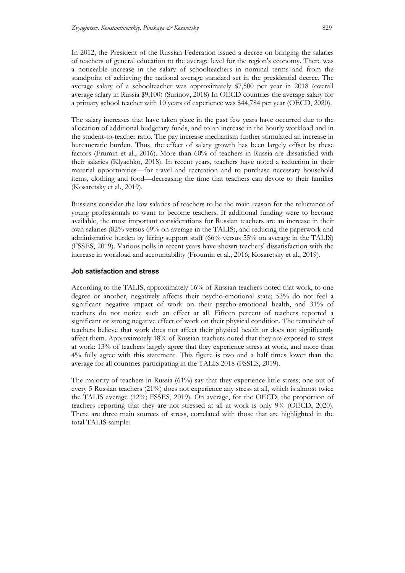In 2012, the President of the Russian Federation issued a decree on bringing the salaries of teachers of general education to the average level for the region's economy. There was a noticeable increase in the salary of schoolteachers in nominal terms and from the standpoint of achieving the national average standard set in the presidential decree. The average salary of a schoolteacher was approximately \$7,500 per year in 2018 (overall average salary in Russia \$9,100) (Surinov, 2018) In OECD countries the average salary for a primary school teacher with 10 years of experience was \$44,784 per year (OECD, 2020).

The salary increases that have taken place in the past few years have occurred due to the allocation of additional budgetary funds, and to an increase in the hourly workload and in the student-to-teacher ratio. The pay increase mechanism further stimulated an increase in bureaucratic burden. Thus, the effect of salary growth has been largely offset by these factors (Frumin et al., 2016). More than 60% of teachers in Russia are dissatisfied with their salaries (Klyachko, 2018). In recent years, teachers have noted a reduction in their material opportunities—for travel and recreation and to purchase necessary household items, clothing and food—decreasing the time that teachers can devote to their families (Kosaretsky et al., 2019).

Russians consider the low salaries of teachers to be the main reason for the reluctance of young professionals to want to become teachers. If additional funding were to become available, the most important considerations for Russian teachers are an increase in their own salaries (82% versus 69% on average in the TALIS), and reducing the paperwork and administrative burden by hiring support staff (66% versus 55% on average in the TALIS) (FSSES, 2019). Various polls in recent years have shown teachers' dissatisfaction with the increase in workload and accountability (Froumin et al., 2016; Kosaretsky et al., 2019).

#### **Job satisfaction and stress**

According to the TALIS, approximately 16% of Russian teachers noted that work, to one degree or another, negatively affects their psycho-emotional state; 53% do not feel a significant negative impact of work on their psycho-emotional health, and 31% of teachers do not notice such an effect at all. Fifteen percent of teachers reported a significant or strong negative effect of work on their physical condition. The remainder of teachers believe that work does not affect their physical health or does not significantly affect them. Approximately 18% of Russian teachers noted that they are exposed to stress at work: 13% of teachers largely agree that they experience stress at work, and more than 4% fully agree with this statement. This figure is two and a half times lower than the average for all countries participating in the TALIS 2018 (FSSES, 2019).

The majority of teachers in Russia (61%) say that they experience little stress; one out of every 5 Russian teachers (21%) does not experience any stress at all, which is almost twice the TALIS average (12%; FSSES, 2019). On average, for the OECD, the proportion of teachers reporting that they are not stressed at all at work is only 9% (OECD, 2020). There are three main sources of stress, correlated with those that are highlighted in the total TALIS sample: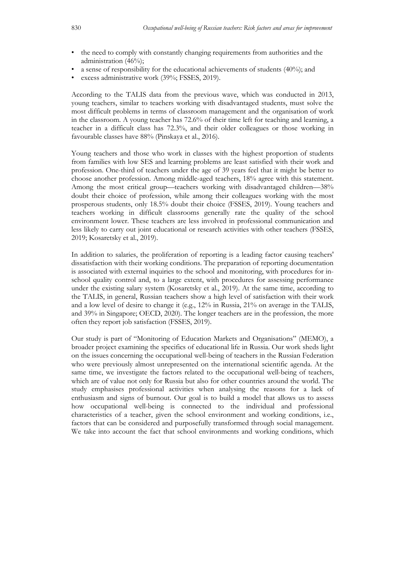- the need to comply with constantly changing requirements from authorities and the administration (46%);
- a sense of responsibility for the educational achievements of students (40%); and
- excess administrative work (39%; FSSES, 2019).

According to the TALIS data from the previous wave, which was conducted in 2013, young teachers, similar to teachers working with disadvantaged students, must solve the most difficult problems in terms of classroom management and the organisation of work in the classroom. A young teacher has 72.6% of their time left for teaching and learning, a teacher in a difficult class has 72.3%, and their older colleagues or those working in favourable classes have 88% (Pinskaya et al., 2016).

Young teachers and those who work in classes with the highest proportion of students from families with low SES and learning problems are least satisfied with their work and profession. One-third of teachers under the age of 39 years feel that it might be better to choose another profession. Among middle-aged teachers, 18% agree with this statement. Among the most critical group—teachers working with disadvantaged children—38% doubt their choice of profession, while among their colleagues working with the most prosperous students, only 18.5% doubt their choice (FSSES, 2019). Young teachers and teachers working in difficult classrooms generally rate the quality of the school environment lower. These teachers are less involved in professional communication and less likely to carry out joint educational or research activities with other teachers (FSSES, 2019; Kosaretsky et al., 2019).

In addition to salaries, the proliferation of reporting is a leading factor causing teachers' dissatisfaction with their working conditions. The preparation of reporting documentation is associated with external inquiries to the school and monitoring, with procedures for inschool quality control and, to a large extent, with procedures for assessing performance under the existing salary system (Kosaretsky et al., 2019). At the same time, according to the TALIS, in general, Russian teachers show a high level of satisfaction with their work and a low level of desire to change it (e.g., 12% in Russia, 21% on average in the TALIS, and 39% in Singapore; OECD, 2020). The longer teachers are in the profession, the more often they report job satisfaction (FSSES, 2019).

Our study is part of "Monitoring of Education Markets and Organisations" (MEMO), a broader project examining the specifics of educational life in Russia. Our work sheds light on the issues concerning the occupational well-being of teachers in the Russian Federation who were previously almost unrepresented on the international scientific agenda. At the same time, we investigate the factors related to the occupational well-being of teachers, which are of value not only for Russia but also for other countries around the world. The study emphasises professional activities when analysing the reasons for a lack of enthusiasm and signs of burnout. Our goal is to build a model that allows us to assess how occupational well-being is connected to the individual and professional characteristics of a teacher, given the school environment and working conditions, i.e., factors that can be considered and purposefully transformed through social management. We take into account the fact that school environments and working conditions, which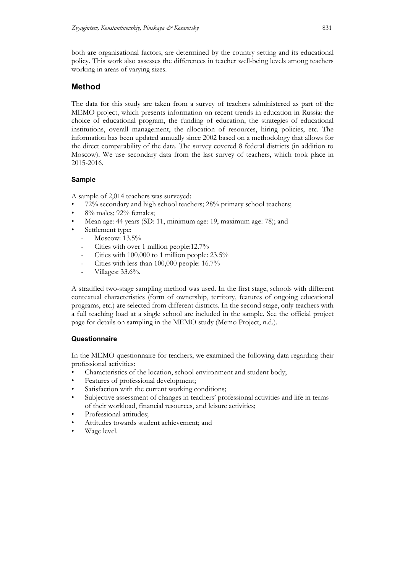both are organisational factors, are determined by the country setting and its educational policy. This work also assesses the differences in teacher well-being levels among teachers working in areas of varying sizes.

## **Method**

The data for this study are taken from a survey of teachers administered as part of the MEMO project, which presents information on recent trends in education in Russia: the choice of educational program, the funding of education, the strategies of educational institutions, overall management, the allocation of resources, hiring policies, etc. The information has been updated annually since 2002 based on a methodology that allows for the direct comparability of the data. The survey covered 8 federal districts (in addition to Moscow). We use secondary data from the last survey of teachers, which took place in 2015-2016.

## **Sample**

A sample of 2,014 teachers was surveyed:

- 72% secondary and high school teachers; 28% primary school teachers;
- 8% males; 92% females;
- Mean age: 44 years (SD: 11, minimum age: 19, maximum age: 78); and
- Settlement type:
	- Moscow: 13.5%
	- Cities with over 1 million people:12.7%
	- Cities with  $100,000$  to 1 million people:  $23.5\%$
	- Cities with less than 100,000 people: 16.7%
	- Villages: 33.6%.

A stratified two-stage sampling method was used. In the first stage, schools with different contextual characteristics (form of ownership, territory, features of ongoing educational programs, etc.) are selected from different districts. In the second stage, only teachers with a full teaching load at a single school are included in the sample. See the official project page for details on sampling in the MEMO study (Memo Project, n.d.).

## **Questionnaire**

In the MEMO questionnaire for teachers, we examined the following data regarding their professional activities:

- Characteristics of the location, school environment and student body;
- Features of professional development;
- Satisfaction with the current working conditions;
- Subjective assessment of changes in teachers' professional activities and life in terms of their workload, financial resources, and leisure activities;
- Professional attitudes:
- Attitudes towards student achievement; and
- Wage level.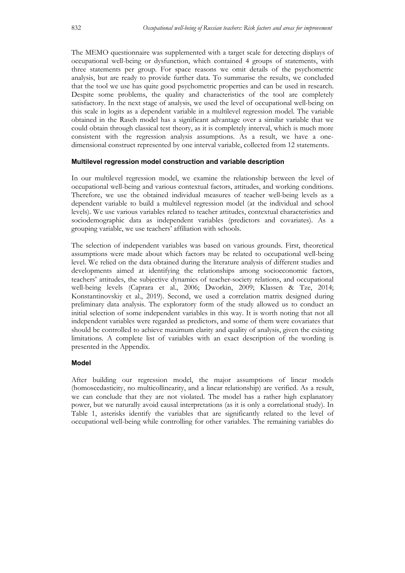The MEMO questionnaire was supplemented with a target scale for detecting displays of occupational well-being or dysfunction, which contained 4 groups of statements, with three statements per group. For space reasons we omit details of the psychometric analysis, but are ready to provide further data. To summarise the results, we concluded that the tool we use has quite good psychometric properties and can be used in research. Despite some problems, the quality and characteristics of the tool are completely satisfactory. In the next stage of analysis, we used the level of occupational well-being on this scale in logits as a dependent variable in a multilevel regression model. The variable obtained in the Rasch model has a significant advantage over a similar variable that we could obtain through classical test theory, as it is completely interval, which is much more consistent with the regression analysis assumptions. As a result, we have a onedimensional construct represented by one interval variable, collected from 12 statements.

#### **Multilevel regression model construction and variable description**

In our multilevel regression model, we examine the relationship between the level of occupational well-being and various contextual factors, attitudes, and working conditions. Therefore, we use the obtained individual measures of teacher well-being levels as a dependent variable to build a multilevel regression model (at the individual and school levels). We use various variables related to teacher attitudes, contextual characteristics and sociodemographic data as independent variables (predictors and covariates). As a grouping variable, we use teachers' affiliation with schools.

The selection of independent variables was based on various grounds. First, theoretical assumptions were made about which factors may be related to occupational well-being level. We relied on the data obtained during the literature analysis of different studies and developments aimed at identifying the relationships among socioeconomic factors, teachers' attitudes, the subjective dynamics of teacher-society relations, and occupational well-being levels (Caprara et al., 2006; Dworkin, 2009; Klassen & Tze, 2014; Konstantinovskiy et al., 2019). Second, we used a correlation matrix designed during preliminary data analysis. The exploratory form of the study allowed us to conduct an initial selection of some independent variables in this way. It is worth noting that not all independent variables were regarded as predictors, and some of them were covariates that should be controlled to achieve maximum clarity and quality of analysis, given the existing limitations. A complete list of variables with an exact description of the wording is presented in the Appendix.

### **Model**

After building our regression model, the major assumptions of linear models (homoscedasticity, no multicollinearity, and a linear relationship) are verified. As a result, we can conclude that they are not violated. The model has a rather high explanatory power, but we naturally avoid causal interpretations (as it is only a correlational study). In Table 1, asterisks identify the variables that are significantly related to the level of occupational well-being while controlling for other variables. The remaining variables do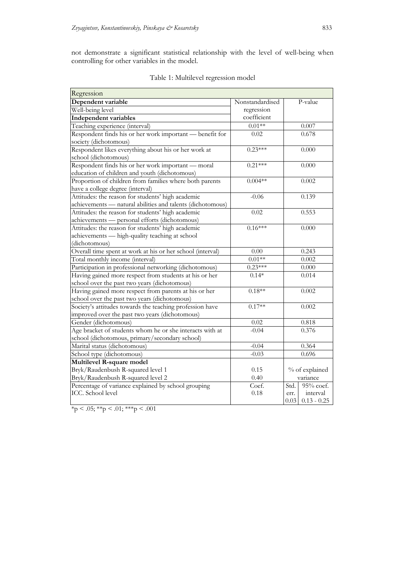not demonstrate a significant statistical relationship with the level of well-being when controlling for other variables in the model.

| Regression                                                 |                 |                       |
|------------------------------------------------------------|-----------------|-----------------------|
| Dependent variable                                         | Nonstandardised | P-value               |
| Well-being level                                           | regression      |                       |
| <b>Independent variables</b>                               | coefficient     |                       |
| Teaching experience (interval)                             | $0.01**$        | $0.007\,$             |
| Respondent finds his or her work important - benefit for   | 0.02            | 0.678                 |
| society (dichotomous)                                      |                 |                       |
| Respondent likes everything about his or her work at       | $0.23***$       | 0.000                 |
| school (dichotomous)                                       |                 |                       |
| Respondent finds his or her work important — moral         | $0.21***$       | 0.000                 |
| education of children and youth (dichotomous)              |                 |                       |
| Proportion of children from families where both parents    | $0.004**$       | 0.002                 |
| have a college degree (interval)                           |                 |                       |
| Attitudes: the reason for students' high academic          | $-0.06$         | 0.139                 |
| achievements - natural abilities and talents (dichotomous) |                 |                       |
| Attitudes: the reason for students' high academic          | 0.02            | 0.553                 |
| achievements - personal efforts (dichotomous)              |                 |                       |
| Attitudes: the reason for students' high academic          | $0.16***$       | 0.000                 |
| achievements — high-quality teaching at school             |                 |                       |
| (dichotomous)                                              |                 |                       |
| Overall time spent at work at his or her school (interval) | $0.00\,$        | 0.243                 |
| Total monthly income (interval)                            | $0.01**$        | 0.002                 |
| Participation in professional networking (dichotomous)     | $0.23***$       | $0.000\,$             |
| Having gained more respect from students at his or her     | $0.14*$         | 0.014                 |
| school over the past two years (dichotomous)               |                 |                       |
| Having gained more respect from parents at his or her      | $0.18**$        | 0.002                 |
| school over the past two years (dichotomous)               |                 |                       |
| Society's attitudes towards the teaching profession have   | $0.17**$        | 0.002                 |
| improved over the past two years (dichotomous)             |                 |                       |
| Gender (dichotomous)                                       | 0.02            | 0.818                 |
| Age bracket of students whom he or she interacts with at   | $-0.04$         | 0.376                 |
| school (dichotomous, primary/secondary school)             |                 |                       |
| Marital status (dichotomous)                               | $-0.04$         | 0.364                 |
| School type (dichotomous)                                  | $-0.03$         | 0.696                 |
| Multilevel R-square model                                  |                 |                       |
| Bryk/Raudenbush R-squared level 1<br>0.15                  |                 | % of explained        |
| Bryk/Raudenbush R-squared level 2                          | 0.40            | variance              |
| Percentage of variance explained by school grouping        | Coef.           | Std.<br>95% coef.     |
| ICC. School level                                          | 0.18            | interval<br>err.      |
|                                                            |                 | 0.03<br>$0.13 - 0.25$ |

Table 1: Multilevel regression model

 $*_{p} < .05; **_{p} < .01; **_{p} < .001$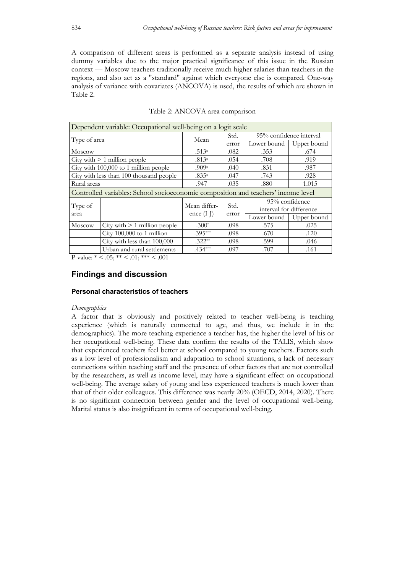A comparison of different areas is performed as a separate analysis instead of using dummy variables due to the major practical significance of this issue in the Russian context — Moscow teachers traditionally receive much higher salaries than teachers in the regions, and also act as a "standard" against which everyone else is compared. One-way analysis of variance with covariates (ANCOVA) is used, the results of which are shown in Table 2.

|              | Dependent variable: Occupational well-being on a logit scale                      |                      |                       |                         |                         |
|--------------|-----------------------------------------------------------------------------------|----------------------|-----------------------|-------------------------|-------------------------|
|              |                                                                                   | Mean                 | Std.                  | 95% confidence interval |                         |
| Type of area |                                                                                   |                      | error                 | Lower bound             | Upper bound             |
| Moscow       |                                                                                   | .513a                | .082                  | .353                    | .674                    |
|              | City with $\geq 1$ million people                                                 | .813a                | .054                  | .708                    | .919                    |
|              | City with 100,000 to 1 million people                                             | .909a                | .040                  | .831<br>.987            |                         |
|              | City with less than 100 thousand people                                           | .835a                | .047                  | .743<br>.928            |                         |
| Rural areas  |                                                                                   | .947                 | .035                  | 1.015<br>.880           |                         |
|              | Controlled variables: School socioeconomic composition and teachers' income level |                      |                       |                         |                         |
|              |                                                                                   | Mean differ-<br>Std. | 95% confidence        |                         |                         |
| Type of      |                                                                                   |                      |                       |                         | interval for difference |
| area         |                                                                                   |                      | ence $(I-J)$<br>error | Lower bound             | Upper bound             |
| Moscow       | City with $\geq 1$ million people                                                 | $-.300*$             | .098                  | $-.575$                 | $-.025$                 |
|              | City $100,000$ to 1 million                                                       | $-.395***$           | .098                  | $-.670$                 | $-.120$                 |
|              | City with less than 100,000                                                       | $-.322**$            | .098                  | $-.599$                 | $-.046$                 |
|              | Urban and rural settlements                                                       | $-.434***$           | .097                  | $-.707$                 | $-161$                  |

|  |  | Table 2: ANCOVA area comparison |
|--|--|---------------------------------|

P-value:  $* < .05; ** < .01;*** < .001$ 

## **Findings and discussion**

### **Personal characteristics of teachers**

#### *Demographics*

A factor that is obviously and positively related to teacher well-being is teaching experience (which is naturally connected to age, and thus, we include it in the demographics). The more teaching experience a teacher has, the higher the level of his or her occupational well-being. These data confirm the results of the TALIS, which show that experienced teachers feel better at school compared to young teachers. Factors such as a low level of professionalism and adaptation to school situations, a lack of necessary connections within teaching staff and the presence of other factors that are not controlled by the researchers, as well as income level, may have a significant effect on occupational well-being. The average salary of young and less experienced teachers is much lower than that of their older colleagues. This difference was nearly 20% (OECD, 2014, 2020). There is no significant connection between gender and the level of occupational well-being. Marital status is also insignificant in terms of occupational well-being.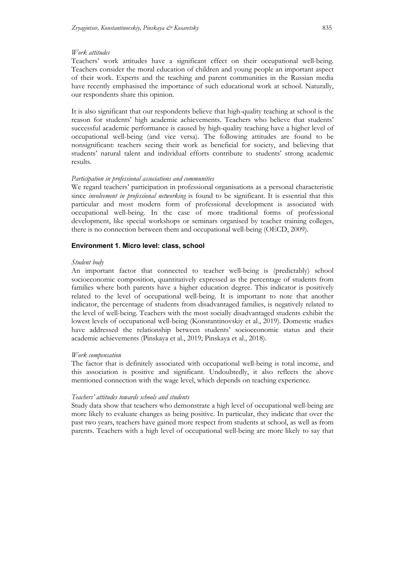#### *Work attitudes*

Teachers' work attitudes have a significant effect on their occupational well-being. Teachers consider the moral education of children and young people an important aspect of their work. Experts and the teaching and parent communities in the Russian media have recently emphasised the importance of such educational work at school. Naturally, our respondents share this opinion.

It is also significant that our respondents believe that high-quality teaching at school is the reason for students' high academic achievements. Teachers who believe that students' successful academic performance is caused by high-quality teaching have a higher level of occupational well-being (and vice versa). The following attitudes are found to be nonsignificant: teachers seeing their work as beneficial for society, and believing that students' natural talent and individual efforts contribute to students' strong academic results.

#### *Participation in professional associations and communities*

We regard teachers' participation in professional organisations as a personal characteristic since *involvement in professional networking* is found to be significant. It is essential that this particular and most modern form of professional development is associated with occupational well-being. In the case of more traditional forms of professional development, like special workshops or seminars organised by teacher training colleges, there is no connection between them and occupational well-being (OECD, 2009).

#### **Environment 1. Micro level: class, school**

#### *Student body*

An important factor that connected to teacher well-being is (predictably) school socioeconomic composition, quantitatively expressed as the percentage of students from families where both parents have a higher education degree. This indicator is positively related to the level of occupational well-being. It is important to note that another indicator, the percentage of students from disadvantaged families, is negatively related to the level of well-being. Teachers with the most socially disadvantaged students exhibit the lowest levels of occupational well-being (Konstantinovskiy et al., 2019). Domestic studies have addressed the relationship between students' socioeconomic status and their academic achievements (Pinskaya et al., 2019; Pinskaya et al., 2018).

#### *Work compensation*

The factor that is definitely associated with occupational well-being is total income, and this association is positive and significant. Undoubtedly, it also reflects the above mentioned connection with the wage level, which depends on teaching experience.

#### *Teachers' attitudes towards schools and students*

Study data show that teachers who demonstrate a high level of occupational well-being are more likely to evaluate changes as being positive. In particular, they indicate that over the past two years, teachers have gained more respect from students at school, as well as from parents. Teachers with a high level of occupational well-being are more likely to say that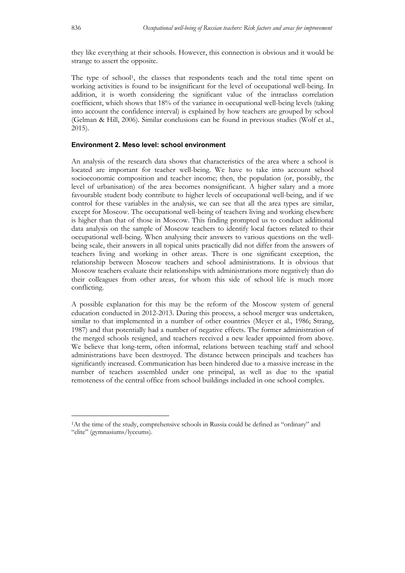they like everything at their schools. However, this connection is obvious and it would be strange to assert the opposite.

The type of school1, the classes that respondents teach and the total time spent on working activities is found to be insignificant for the level of occupational well-being. In addition, it is worth considering the significant value of the intraclass correlation coefficient, which shows that 18% of the variance in occupational well-being levels (taking into account the confidence interval) is explained by how teachers are grouped by school (Gelman & Hill, 2006). Similar conclusions can be found in previous studies (Wolf et al., 2015).

#### **Environment 2. Meso level: school environment**

An analysis of the research data shows that characteristics of the area where a school is located are important for teacher well-being. We have to take into account school socioeconomic composition and teacher income; then, the population (or, possibly, the level of urbanisation) of the area becomes nonsignificant. A higher salary and a more favourable student body contribute to higher levels of occupational well-being, and if we control for these variables in the analysis, we can see that all the area types are similar, except for Moscow. The occupational well-being of teachers living and working elsewhere is higher than that of those in Moscow. This finding prompted us to conduct additional data analysis on the sample of Moscow teachers to identify local factors related to their occupational well-being. When analysing their answers to various questions on the wellbeing scale, their answers in all topical units practically did not differ from the answers of teachers living and working in other areas. There is one significant exception, the relationship between Moscow teachers and school administrations. It is obvious that Moscow teachers evaluate their relationships with administrations more negatively than do their colleagues from other areas, for whom this side of school life is much more conflicting.

A possible explanation for this may be the reform of the Moscow system of general education conducted in 2012-2013. During this process, a school merger was undertaken, similar to that implemented in a number of other countries (Meyer et al., 1986; Strang, 1987) and that potentially had a number of negative effects. The former administration of the merged schools resigned, and teachers received a new leader appointed from above. We believe that long-term, often informal, relations between teaching staff and school administrations have been destroyed. The distance between principals and teachers has significantly increased. Communication has been hindered due to a massive increase in the number of teachers assembled under one principal, as well as due to the spatial remoteness of the central office from school buildings included in one school complex.

<sup>1</sup>At the time of the study, comprehensive schools in Russia could be defined as "ordinary" and "elite" (gymnasiums/lyceums).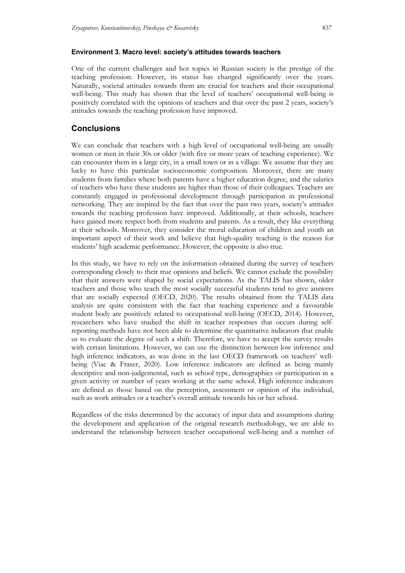#### **Environment 3. Macro level: society's attitudes towards teachers**

One of the current challenges and hot topics in Russian society is the prestige of the teaching profession. However, its status has changed significantly over the years. Naturally, societal attitudes towards them are crucial for teachers and their occupational well-being. This study has shown that the level of teachers' occupational well-being is positively correlated with the opinions of teachers and that over the past 2 years, society's attitudes towards the teaching profession have improved.

## **Conclusions**

We can conclude that teachers with a high level of occupational well-being are usually women or men in their 30s or older (with five or more years of teaching experience). We can encounter them in a large city, in a small town or in a village. We assume that they are lucky to have this particular socioeconomic composition. Moreover, there are many students from families where both parents have a higher education degree, and the salaries of teachers who have these students are higher than those of their colleagues. Teachers are constantly engaged in professional development through participation in professional networking. They are inspired by the fact that over the past two years, society's attitudes towards the teaching profession have improved. Additionally, at their schools, teachers have gained more respect both from students and parents. As a result, they like everything at their schools. Moreover, they consider the moral education of children and youth an important aspect of their work and believe that high-quality teaching is the reason for students' high academic performance. However, the opposite is also true.

In this study, we have to rely on the information obtained during the survey of teachers corresponding closely to their true opinions and beliefs. We cannot exclude the possibility that their answers were shaped by social expectations. As the TALIS has shown, older teachers and those who teach the most socially successful students tend to give answers that are socially expected (OECD, 2020). The results obtained from the TALIS data analysis are quite consistent with the fact that teaching experience and a favourable student body are positively related to occupational well-being (OECD, 2014). However, researchers who have studied the shift in teacher responses that occurs during selfreporting methods have not been able to determine the quantitative indicators that enable us to evaluate the degree of such a shift. Therefore, we have to accept the survey results with certain limitations. However, we can use the distinction between low inference and high inference indicators, as was done in the last OECD framework on teachers' wellbeing (Viac & Fraser, 2020). Low inference indicators are defined as being mainly descriptive and non-judgemental, such as school type, demographics or participation in a given activity or number of years working at the same school. High inference indicators are defined as those based on the perception, assessment or opinion of the individual, such as work attitudes or a teacher's overall attitude towards his or her school.

Regardless of the risks determined by the accuracy of input data and assumptions during the development and application of the original research methodology, we are able to understand the relationship between teacher occupational well-being and a number of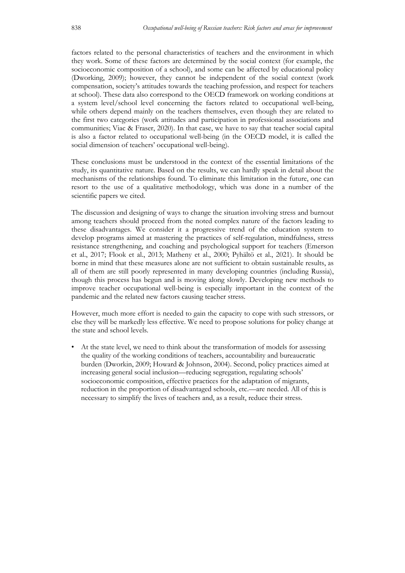factors related to the personal characteristics of teachers and the environment in which they work. Some of these factors are determined by the social context (for example, the socioeconomic composition of a school), and some can be affected by educational policy (Dworking, 2009); however, they cannot be independent of the social context (work compensation, society's attitudes towards the teaching profession, and respect for teachers at school). These data also correspond to the OECD framework on working conditions at a system level/school level concerning the factors related to occupational well-being, while others depend mainly on the teachers themselves, even though they are related to the first two categories (work attitudes and participation in professional associations and communities; Viac & Fraser, 2020). In that case, we have to say that teacher social capital is also a factor related to occupational well-being (in the OECD model, it is called the social dimension of teachers' occupational well-being).

These conclusions must be understood in the context of the essential limitations of the study, its quantitative nature. Based on the results, we can hardly speak in detail about the mechanisms of the relationships found. To eliminate this limitation in the future, one can resort to the use of a qualitative methodology, which was done in a number of the scientific papers we cited.

The discussion and designing of ways to change the situation involving stress and burnout among teachers should proceed from the noted complex nature of the factors leading to these disadvantages. We consider it a progressive trend of the education system to develop programs aimed at mastering the practices of self-regulation, mindfulness, stress resistance strengthening, and coaching and psychological support for teachers (Emerson et al., 2017; Flook et al., 2013; Matheny et al., 2000; Pyhältö et al., 2021). It should be borne in mind that these measures alone are not sufficient to obtain sustainable results, as all of them are still poorly represented in many developing countries (including Russia), though this process has begun and is moving along slowly. Developing new methods to improve teacher occupational well-being is especially important in the context of the pandemic and the related new factors causing teacher stress.

However, much more effort is needed to gain the capacity to cope with such stressors, or else they will be markedly less effective. We need to propose solutions for policy change at the state and school levels.

• At the state level, we need to think about the transformation of models for assessing the quality of the working conditions of teachers, accountability and bureaucratic burden (Dworkin, 2009; Howard & Johnson, 2004). Second, policy practices aimed at increasing general social inclusion—reducing segregation, regulating schools' socioeconomic composition, effective practices for the adaptation of migrants, reduction in the proportion of disadvantaged schools, etc.—are needed. All of this is necessary to simplify the lives of teachers and, as a result, reduce their stress.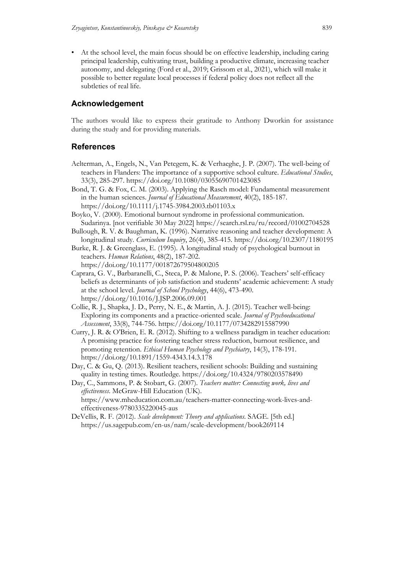• At the school level, the main focus should be on effective leadership, including caring principal leadership, cultivating trust, building a productive climate, increasing teacher autonomy, and delegating (Ford et al., 2019; Grissom et al., 2021), which will make it possible to better regulate local processes if federal policy does not reflect all the subtleties of real life.

## **Acknowledgement**

The authors would like to express their gratitude to Anthony Dworkin for assistance during the study and for providing materials.

### **References**

- Aelterman, A., Engels, N., Van Petegem, K. & Verhaeghe, J. P. (2007). The well-being of teachers in Flanders: The importance of a supportive school culture. *Educational Studies*, 33(3), 285-297. https://doi.org/10.1080/03055690701423085
- Bond, T. G. & Fox, C. M. (2003). Applying the Rasch model: Fundamental measurement in the human sciences. *Journal of Educational Measurement*, 40(2), 185-187. https://doi.org/10.1111/j.1745-3984.2003.tb01103.x
- Boyko, V. (2000). Emotional burnout syndrome in professional communication. Sudarinya. [not verifiable 30 May 2022] https://search.rsl.ru/ru/record/01002704528
- Bullough, R. V. & Baughman, K. (1996). Narrative reasoning and teacher development: A longitudinal study. *Curriculum Inquiry*, 26(4), 385-415. https://doi.org/10.2307/1180195
- Burke, R. J. & Greenglass, E. (1995). A longitudinal study of psychological burnout in teachers. *Human Relations*, 48(2), 187-202. https://doi.org/10.1177/001872679504800205
- Caprara, G. V., Barbaranelli, C., Steca, P. & Malone, P. S. (2006). Teachers' self-efficacy beliefs as determinants of job satisfaction and students' academic achievement: A study at the school level. *Journal of School Psychology*, 44(6), 473-490. https://doi.org/10.1016/J.JSP.2006.09.001
- Collie, R. J., Shapka, J. D., Perry, N. E., & Martin, A. J. (2015). Teacher well-being: Exploring its components and a practice-oriented scale. *Journal of Psychoeducational Assessment*, 33(8), 744-756. https://doi.org/10.1177/0734282915587990
- Curry, J. R. & O'Brien, E. R. (2012). Shifting to a wellness paradigm in teacher education: A promising practice for fostering teacher stress reduction, burnout resilience, and promoting retention. *Ethical Human Psychology and Psychiatry*, 14(3), 178-191. https://doi.org/10.1891/1559-4343.14.3.178
- Day, C. & Gu, Q. (2013). Resilient teachers, resilient schools: Building and sustaining quality in testing times. Routledge. https://doi.org/10.4324/9780203578490
- Day, C., Sammons, P. & Stobart, G. (2007). *Teachers matter: Connecting work, lives and effectiveness*. McGraw-Hill Education (UK). https://www.mheducation.com.au/teachers-matter-connecting-work-lives-andeffectiveness-9780335220045-aus
- DeVellis, R. F. (2012). *Scale development: Theory and applications*. SAGE. [5th ed.] https://us.sagepub.com/en-us/nam/scale-development/book269114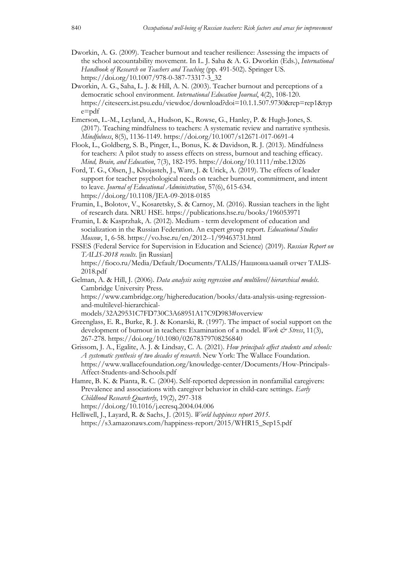- Dworkin, A. G. (2009). Teacher burnout and teacher resilience: Assessing the impacts of the school accountability movement. In L. J. Saha & A. G. Dworkin (Eds.), *International Handbook of Research on Teachers and Teaching* (pp. 491-502). Springer US. https://doi.org/10.1007/978-0-387-73317-3\_32
- Dworkin, A. G., Saha, L. J. & Hill, A. N. (2003). Teacher burnout and perceptions of a democratic school environment. *International Education Journal*, 4(2), 108-120. https://citeseerx.ist.psu.edu/viewdoc/download?doi=10.1.1.507.9730&rep=rep1&typ e=pdf
- Emerson, L.-M., Leyland, A., Hudson, K., Rowse, G., Hanley, P. & Hugh-Jones, S. (2017). Teaching mindfulness to teachers: A systematic review and narrative synthesis. *Mindfulness*, 8(5), 1136-1149. https://doi.org/10.1007/s12671-017-0691-4
- Flook, L., Goldberg, S. B., Pinger, L., Bonus, K. & Davidson, R. J. (2013). Mindfulness for teachers: A pilot study to assess effects on stress, burnout and teaching efficacy. *Mind, Brain, and Education*, 7(3), 182-195. https://doi.org/10.1111/mbe.12026
- Ford, T. G., Olsen, J., Khojasteh, J., Ware, J. & Urick, A. (2019). The effects of leader support for teacher psychological needs on teacher burnout, commitment, and intent to leave. *Journal of Educational Administration*, 57(6), 615-634. https://doi.org/10.1108/JEA-09-2018-0185
- Frumin, I., Bolotov, V., Kosaretsky, S. & Carnoy, M. (2016). Russian teachers in the light of research data. NRU HSE. https://publications.hse.ru/books/196053971
- Frumin, I. & Kasprzhak, A. (2012). Medium term development of education and socialization in the Russian Federation. An expert group report. *Educational Studies Moscow*, 1, 6-58. https://vo.hse.ru/en/2012--1/99463731.html
- FSSES (Federal Service for Supervision in Education and Science) (2019). *Russian Report on TALIS-2018 results*. [in Russian] https://fioco.ru/Media/Default/Documents/TALIS/Национальный отчет TALIS-2018.pdf
- Gelman, A. & Hill, J. (2006). *Data analysis using regression and multilevel/hierarchical models*. Cambridge University Press.

https://www.cambridge.org/highereducation/books/data-analysis-using-regressionand-multilevel-hierarchical-

```
models/32A29531C7FD730C3A68951A17C9D983#overview
```
- Greenglass, E. R., Burke, R. J. & Konarski, R. (1997). The impact of social support on the development of burnout in teachers: Examination of a model. *Work & Stress*, 11(3), 267-278. https://doi.org/10.1080/02678379708256840
- Grissom, J. A., Egalite, A. J. & Lindsay, C. A. (2021). *How principals affect students and schools: A systematic synthesis of two decades of research*. New York: The Wallace Foundation. https://www.wallacefoundation.org/knowledge-center/Documents/How-Principals-Affect-Students-and-Schools.pdf
- Hamre, B. K. & Pianta, R. C. (2004). Self-reported depression in nonfamilial caregivers: Prevalence and associations with caregiver behavior in child-care settings. *Early Childhood Research Quarterly*, 19(2), 297-318 https://doi.org/10.1016/j.ecresq.2004.04.006
- Helliwell, J., Layard, R. & Sachs, J. (2015). *World happiness report 2015*. https://s3.amazonaws.com/happiness-report/2015/WHR15\_Sep15.pdf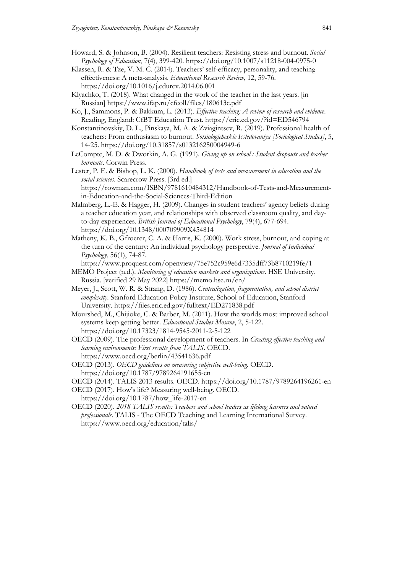- Howard, S. & Johnson, B. (2004). Resilient teachers: Resisting stress and burnout. *Social Psychology of Education*, 7(4), 399-420. https://doi.org/10.1007/s11218-004-0975-0
- Klassen, R. & Tze, V. M. C. (2014). Teachers' self-efficacy, personality, and teaching effectiveness: A meta-analysis. *Educational Research Review*, 12, 59-76. https://doi.org/10.1016/j.edurev.2014.06.001
- Klyachko, T. (2018). What changed in the work of the teacher in the last years. [in Russian] https://www.ifap.ru/cfeoll/files/180613c.pdf
- Ko, J., Sammons, P. & Bakkum, L. (2013). *Effective teaching: A review of research and evidence*. Reading, England: CfBT Education Trust. https://eric.ed.gov/?id=ED546794

Konstantinovskiy, D. L., Pinskaya, M. A. & Zviagintsev, R. (2019). Professional health of teachers: From enthusiasm to burnout. *Sotsiologicheskie Issledovaniya [Sociological Studies]*, 5, 14-25. https://doi.org/10.31857/s013216250004949-6

LeCompte, M. D. & Dworkin, A. G. (1991). *Giving up on school : Student dropouts and teacher burnouts*. Corwin Press.

Lester, P. E. & Bishop, L. K. (2000). *Handbook of tests and measurement in education and the social sciences*. Scarecrow Press. [3rd ed.] https://rowman.com/ISBN/9781610484312/Handbook-of-Tests-and-Measurementin-Education-and-the-Social-Sciences-Third-Edition

- Malmberg, L.-E. & Hagger, H. (2009). Changes in student teachers' agency beliefs during a teacher education year, and relationships with observed classroom quality, and dayto-day experiences. *British Journal of Educational Psychology*, 79(4), 677-694. https://doi.org/10.1348/000709909X454814
- Matheny, K. B., Gfroerer, C. A. & Harris, K. (2000). Work stress, burnout, and coping at the turn of the century: An individual psychology perspective. *Journal of Individual Psychology*, 56(1), 74-87.
- https://www.proquest.com/openview/75e752c959e6d7335dff73b8710219fe/1 MEMO Project (n.d.). *Monitoring of education markets and organizations*. HSE University, Russia. [verified 29 May 2022] https://memo.hse.ru/en/
- Meyer, J., Scott, W. R. & Strang, D. (1986). *Centralization, fragmentation, and school district complexity*. Stanford Education Policy Institute, School of Education, Stanford University. https://files.eric.ed.gov/fulltext/ED271838.pdf

Mourshed, M., Chijioke, C. & Barber, M. (2011). How the worlds most improved school systems keep getting better. *Educational Studies Moscow*, 2, 5-122. https://doi.org/10.17323/1814-9545-2011-2-5-122

OECD (2009). The professional development of teachers. In *Creating effective teaching and learning environments: First results from TALIS*. OECD. https://www.oecd.org/berlin/43541636.pdf

- OECD (2013). *OECD guidelines on measuring subjective well-being*. OECD. https://doi.org/10.1787/9789264191655-en
- OECD (2014). TALIS 2013 results. OECD. https://doi.org/10.1787/9789264196261-en

OECD (2017). How's life? Measuring well-being. OECD.

- https://doi.org/10.1787/how\_life-2017-en
- OECD (2020). *2018 TALIS results: Teachers and school leaders as lifelong learners and valued professionals*. TALIS - The OECD Teaching and Learning International Survey. https://www.oecd.org/education/talis/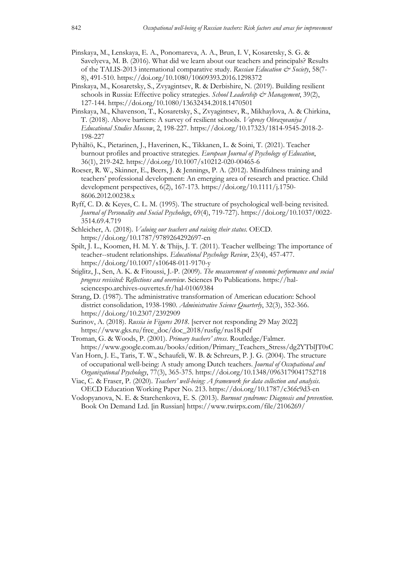- Pinskaya, M., Lenskaya, E. A., Ponomareva, A. A., Brun, I. V, Kosaretsky, S. G. & Savelyeva, M. B. (2016). What did we learn about our teachers and principals? Results of the TALIS-2013 international comparative study. *Russian Education & Society*, 58(7- 8), 491-510. https://doi.org/10.1080/10609393.2016.1298372
- Pinskaya, M., Kosaretsky, S., Zvyagintsev, R. & Derbishire, N. (2019). Building resilient schools in Russia: Effective policy strategies. *School Leadership & Management*, 39(2), 127-144. https://doi.org/10.1080/13632434.2018.1470501
- Pinskaya, М., Khavenson, T., Kosaretsky, S., Zvyagintsev, R., Mikhaylova, A. & Chirkina, T. (2018). Above barriers: A survey of resilient schools. *Voprosy Obrazovaniya / Educational Studies Moscow*, 2, 198-227. https://doi.org/10.17323/1814-9545-2018-2- 198-227
- Pyhältö, K., Pietarinen, J., Haverinen, K., Tikkanen, L. & Soini, T. (2021). Teacher burnout profiles and proactive strategies. *European Journal of Psychology of Education*, 36(1), 219-242. https://doi.org/10.1007/s10212-020-00465-6
- Roeser, R. W., Skinner, E., Beers, J. & Jennings, P. A. (2012). Mindfulness training and teachers' professional development: An emerging area of research and practice. Child development perspectives, 6(2), 167-173. https://doi.org/10.1111/j.1750- 8606.2012.00238.x
- Ryff, C. D. & Keyes, C. L. M. (1995). The structure of psychological well-being revisited. *Journal of Personality and Social Psychology*, 69(4), 719-727). https://doi.org/10.1037/0022- 3514.69.4.719
- Schleicher, A. (2018). *Valuing our teachers and raising their status*. OECD. https://doi.org/10.1787/9789264292697-en
- Spilt, J. L., Koomen, H. M. Y. & Thijs, J. T. (2011). Teacher wellbeing: The importance of teacher--student relationships. *Educational Psychology Review*, 23(4), 457-477. https://doi.org/10.1007/s10648-011-9170-y
- Stiglitz, J., Sen, A. K. & Fitoussi, J.-P. (2009). *The measurement of economic performance and social progress revisited: Reflections and overview*. Sciences Po Publications. https://halsciencespo.archives-ouvertes.fr/hal-01069384
- Strang, D. (1987). The administrative transformation of American education: School district consolidation, 1938-1980. *Administrative Science Quarterly*, 32(3), 352-366. https://doi.org/10.2307/2392909
- Surinov, A. (2018). *Russia in Figures 2018*. [server not responding 29 May 2022] https://www.gks.ru/free\_doc/doc\_2018/rusfig/rus18.pdf
- Troman, G. & Woods, P. (2001). *Primary teachers' stress*. Routledge/Falmer. https://www.google.com.au/books/edition/Primary\_Teachers\_Stress/dg2YTblJT0sC
- Van Horn, J. E., Taris, T. W., Schaufeli, W. B. & Schreurs, P. J. G. (2004). The structure of occupational well-being: A study among Dutch teachers. *Journal of Occupational and Organizational Psychology*, 77(3), 365-375. https://doi.org/10.1348/0963179041752718
- Viac, C. & Fraser, P. (2020). *Teachers' well-being: A framework for data collection and analysis*. OECD Education Working Paper No. 213. https://doi.org/10.1787/c36fc9d3-en
- Vodopyanova, N. E. & Starchenkova, Е. S. (2013). *Burnout syndrome: Diagnosis and prevention*. Book On Demand Ltd. [in Russian] https://www.twirpx.com/file/2106269/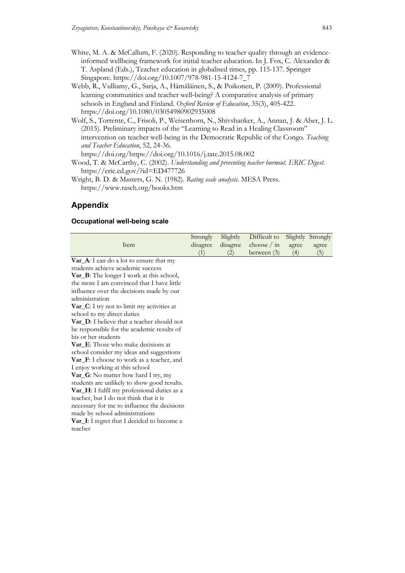- White, M. A. & McCallum, F. (2020). Responding to teacher quality through an evidenceinformed wellbeing framework for initial teacher education. In J. Fox, C. Alexander & T. Aspland (Eds.), Teacher education in globalised times, pp. 115-137. Springer Singapore. https://doi.org/10.1007/978-981-15-4124-7\_7
- Webb, R., Vulliamy, G., Sarja, A., Hämäläinen, S., & Poikonen, P. (2009). Professional learning communities and teacher well-being? A comparative analysis of primary schools in England and Finland. *Oxford Review of Education*, 35(3), 405-422. https://doi.org/10.1080/03054980902935008
- Wolf, S., Torrente, C., Frisoli, P., Weisenhorn, N., Shivshanker, A., Annan, J. & Aber, J. L. (2015). Preliminary impacts of the "Learning to Read in a Healing Classroom" intervention on teacher well-being in the Democratic Republic of the Congo. *Teaching and Teacher Education*, 52, 24-36. https://doi.org/https://doi.org/10.1016/j.tate.2015.08.002

Wood, T. & McCarthy, C. (2002). *Understanding and preventing teacher burnout. ERIC Digest*. https://eric.ed.gov/?id=ED477726

Wright, B. D. & Masters, G. N. (1982). *Rating scale analysis*. MESA Press. https://www.rasch.org/books.htm

# **Appendix**

## **Occupational well-being scale**

|                                                      | Strongly | Slightly | Difficult to  | Slightly | Strongly |
|------------------------------------------------------|----------|----------|---------------|----------|----------|
| Item                                                 | disagree | disagree | choose $/$ in | agree    | agree    |
|                                                      | (1)      | (2)      | between $(3)$ | (4)      | (5)      |
| Var <sub>-</sub> A: I can do a lot to ensure that my |          |          |               |          |          |
| students achieve academic success                    |          |          |               |          |          |
| Var_B: The longer I work at this school,             |          |          |               |          |          |
| the more I am convinced that I have little           |          |          |               |          |          |
| influence over the decisions made by our             |          |          |               |          |          |
| administration                                       |          |          |               |          |          |
| <b>Var_C</b> : I try not to limit my activities at   |          |          |               |          |          |
| school to my direct duties                           |          |          |               |          |          |
| <b>Var_D</b> : I believe that a teacher should not   |          |          |               |          |          |
| be responsible for the academic results of           |          |          |               |          |          |
| his or her students                                  |          |          |               |          |          |
| <b>Var_E</b> : Those who make decisions at           |          |          |               |          |          |
| school consider my ideas and suggestions             |          |          |               |          |          |
| Var_F: I choose to work as a teacher, and            |          |          |               |          |          |
| I enjoy working at this school                       |          |          |               |          |          |
| Var_G: No matter how hard I try, my                  |          |          |               |          |          |
| students are unlikely to show good results.          |          |          |               |          |          |
| Var_H: I fulfil my professional duties as a          |          |          |               |          |          |
| teacher, but I do not think that it is               |          |          |               |          |          |
| necessary for me to influence the decisions          |          |          |               |          |          |
| made by school administrations                       |          |          |               |          |          |
| Var_I: I regret that I decided to become a           |          |          |               |          |          |
| teacher                                              |          |          |               |          |          |
|                                                      |          |          |               |          |          |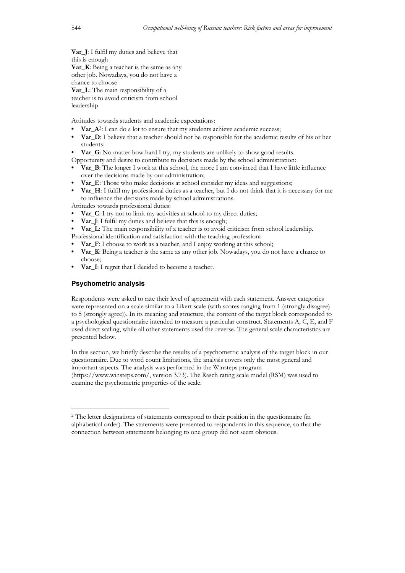**Var\_J**: I fulfil my duties and believe that this is enough **Var\_K**: Being a teacher is the same as any other job. Nowadays, you do not have a chance to choose **Var\_L**: The main responsibility of a teacher is to avoid criticism from school leadership

Attitudes towards students and academic expectations:

- **Var\_A**<sup>2</sup>: I can do a lot to ensure that my students achieve academic success;
- **• Var\_D**: I believe that a teacher should not be responsible for the academic results of his or her students;
- **• Var\_G**: No matter how hard I try, my students are unlikely to show good results.

Opportunity and desire to contribute to decisions made by the school administration:

- **• Var\_B**: The longer I work at this school, the more I am convinced that I have little influence over the decisions made by our administration;
- **Var** E: Those who make decisions at school consider my ideas and suggestions;
- **• Var H**: I fulfil my professional duties as a teacher, but I do not think that it is necessary for me to influence the decisions made by school administrations.

Attitudes towards professional duties:

- **Var** C: I try not to limit my activities at school to my direct duties;
- **Var J**: I fulfil my duties and believe that this is enough;
- **Var** L: The main responsibility of a teacher is to avoid criticism from school leadership.
- Professional identification and satisfaction with the teaching profession**:**
- **Var** F: I choose to work as a teacher, and I enjoy working at this school;
- **Var** K: Being a teacher is the same as any other job. Nowadays, you do not have a chance to choose;
- **• Var\_I**: I regret that I decided to become a teacher.

#### **Psychometric analysis**

Respondents were asked to rate their level of agreement with each statement. Answer categories were represented on a scale similar to a Likert scale (with scores ranging from 1 (strongly disagree) to 5 (strongly agree)). In its meaning and structure, the content of the target block corresponded to a psychological questionnaire intended to measure a particular construct. Statements A, C, E, and F used direct scaling, while all other statements used the reverse. The general scale characteristics are presented below.

In this section, we briefly describe the results of a psychometric analysis of the target block in our questionnaire. Due to word count limitations, the analysis covers only the most general and important aspects. The analysis was performed in the Winsteps program (https://www.winsteps.com/, version 3.73). The Rasch rating scale model (RSM) was used to examine the psychometric properties of the scale.

<sup>2</sup> The letter designations of statements correspond to their position in the questionnaire (in alphabetical order). The statements were presented to respondents in this sequence, so that the connection between statements belonging to one group did not seem obvious.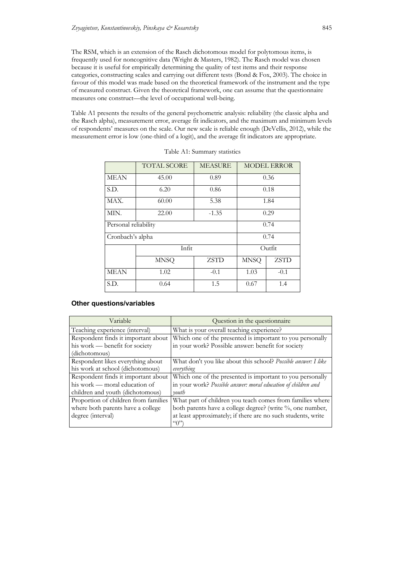The RSM, which is an extension of the Rasch dichotomous model for polytomous items, is frequently used for noncognitive data (Wright & Masters, 1982). The Rasch model was chosen because it is useful for empirically determining the quality of test items and their response categories, constructing scales and carrying out different tests (Bond & Fox, 2003). The choice in favour of this model was made based on the theoretical framework of the instrument and the type of measured construct. Given the theoretical framework, one can assume that the questionnaire measures one construct—the level of occupational well-being.

Table A1 presents the results of the general psychometric analysis: reliability (the classic alpha and the Rasch alpha), measurement error, average fit indicators, and the maximum and minimum levels of respondents' measures on the scale. Our new scale is reliable enough (DeVellis, 2012), while the measurement error is low (one-third of a logit), and the average fit indicators are appropriate.

|                      | <b>TOTAL SCORE</b> | <b>MEASURE</b> | <b>MODEL ERROR</b> |             |  |
|----------------------|--------------------|----------------|--------------------|-------------|--|
| <b>MEAN</b>          | 45.00              | 0.89           | 0.36               |             |  |
| S.D.                 | 6.20               | 0.86           | 0.18               |             |  |
| MAX.                 | 60.00              | 5.38           |                    | 1.84        |  |
| MIN.                 | 22.00              | $-1.35$        | 0.29               |             |  |
| Personal reliability |                    | 0.74           |                    |             |  |
|                      | Cronbach's alpha   |                |                    | 0.74        |  |
|                      | Infit              |                |                    | Outfit      |  |
|                      | <b>MNSQ</b>        | <b>ZSTD</b>    | <b>MNSQ</b>        | <b>ZSTD</b> |  |
| <b>MEAN</b>          | 1.02               | $-0.1$         | 1.03               | $-0.1$      |  |
| S.D.                 | 0.64               | 1.5            | 0.67               | 1.4         |  |

| Table A1: Summary statistics |  |
|------------------------------|--|
|------------------------------|--|

#### **Other questions/variables**

| Variable                             | Question in the questionnaire                                  |
|--------------------------------------|----------------------------------------------------------------|
| Teaching experience (interval)       | What is your overall teaching experience?                      |
| Respondent finds it important about  | Which one of the presented is important to you personally      |
| his work — benefit for society       | in your work? Possible answer: benefit for society             |
| (dichotomous)                        |                                                                |
| Respondent likes everything about    | What don't you like about this school? Possible answer: I like |
| his work at school (dichotomous)     | everything                                                     |
| Respondent finds it important about  | Which one of the presented is important to you personally      |
| his work — moral education of        | in your work? Possible answer: moral education of children and |
| children and youth (dichotomous)     | youth                                                          |
| Proportion of children from families | What part of children you teach comes from families where      |
| where both parents have a college    | both parents have a college degree? (write %, one number,      |
| degree (interval)                    | at least approximately; if there are no such students, write   |
|                                      | $\mathcal{L}(\cdot)$                                           |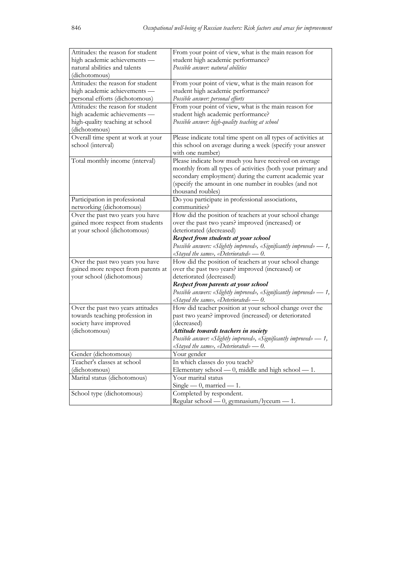| Attitudes: the reason for student   | From your point of view, what is the main reason for                  |
|-------------------------------------|-----------------------------------------------------------------------|
| high academic achievements -        | student high academic performance?                                    |
| natural abilities and talents       | Possible answer: natural abilities                                    |
| (dichotomous)                       |                                                                       |
| Attitudes: the reason for student   | From your point of view, what is the main reason for                  |
| high academic achievements -        | student high academic performance?                                    |
| personal efforts (dichotomous)      | Possible answer: personal efforts                                     |
| Attitudes: the reason for student   | From your point of view, what is the main reason for                  |
| high academic achievements -        | student high academic performance?                                    |
| high-quality teaching at school     | Possible answer: high-quality teaching at school                      |
| (dichotomous)                       |                                                                       |
| Overall time spent at work at your  | Please indicate total time spent on all types of activities at        |
| school (interval)                   | this school on average during a week (specify your answer             |
|                                     | with one number)                                                      |
| Total monthly income (interval)     | Please indicate how much you have received on average                 |
|                                     | monthly from all types of activities (both your primary and           |
|                                     | secondary employment) during the current academic year                |
|                                     | (specify the amount in one number in roubles (and not                 |
|                                     | thousand roubles)                                                     |
| Participation in professional       | Do you participate in professional associations,                      |
| networking (dichotomous)            | communities?                                                          |
| Over the past two years you have    | How did the position of teachers at your school change                |
| gained more respect from students   | over the past two years? improved (increased) or                      |
|                                     |                                                                       |
| at your school (dichotomous)        | deteriorated (decreased)                                              |
|                                     | Respect from students at your school                                  |
|                                     | Possible answers: «Slightly improved», «Significantly improved» — 1,  |
|                                     | «Stayed the same», «Deteriorated» — $0$ .                             |
| Over the past two years you have    | How did the position of teachers at your school change                |
| gained more respect from parents at | over the past two years? improved (increased) or                      |
| your school (dichotomous)           | deteriorated (decreased)                                              |
|                                     | Respect from parents at your school                                   |
|                                     | Possible answers: «Slightly improved», «Significantly improved» — 1,  |
|                                     | «Stayed the same», «Deteriorated» - 0.                                |
| Over the past two years attitudes   | How did teacher position at your school change over the               |
| towards teaching profession in      | past two years? improved (increased) or deteriorated                  |
| society have improved               | (decreased)                                                           |
| (dichotomous)                       | Attitude towards teachers in society                                  |
|                                     | Possible answer: «Slightly improved», «Significantly improved» — 1,   |
|                                     | «Stayed the same», «Deteriorated» — $0$ .                             |
| Gender (dichotomous)                | Your gender                                                           |
| Teacher's classes at school         | In which classes do you teach?                                        |
| (dichotomous)                       | Elementary school — 0, middle and high school — 1.                    |
| Marital status (dichotomous)        | Your marital status                                                   |
|                                     | Single $-0$ , married $-1$ .                                          |
|                                     |                                                                       |
|                                     |                                                                       |
| School type (dichotomous)           | Completed by respondent.<br>Regular school — 0, gymnasium/lyceum — 1. |